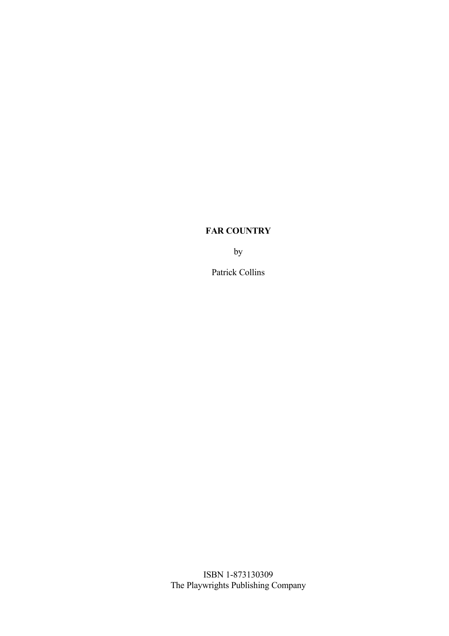by

Patrick Collins

ISBN 1-873130309 The Playwrights Publishing Company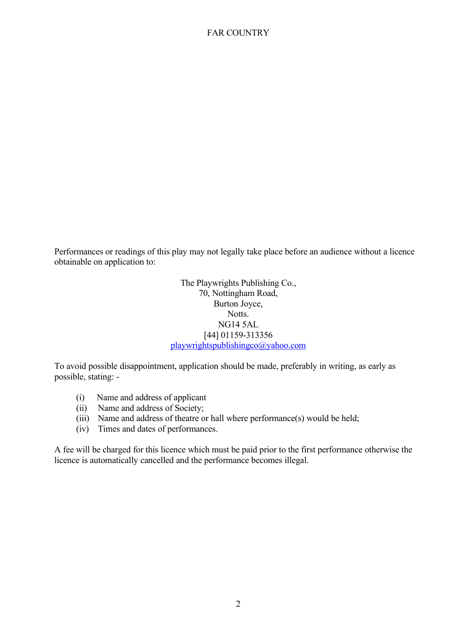Performances or readings of this play may not legally take place before an audience without a licence obtainable on application to:

> The Playwrights Publishing Co., 70, Nottingham Road, Burton Joyce, Notts. NG14 5AL [44] 01159-313356 [playwrightspublishingco@yahoo.com](mailto:playwrightspublishingco@yahoo.com)

To avoid possible disappointment, application should be made, preferably in writing, as early as possible, stating: -

- (i) Name and address of applicant
- (ii) Name and address of Society;
- (iii) Name and address of theatre or hall where performance(s) would be held;
- (iv) Times and dates of performances.

A fee will be charged for this licence which must be paid prior to the first performance otherwise the licence is automatically cancelled and the performance becomes illegal.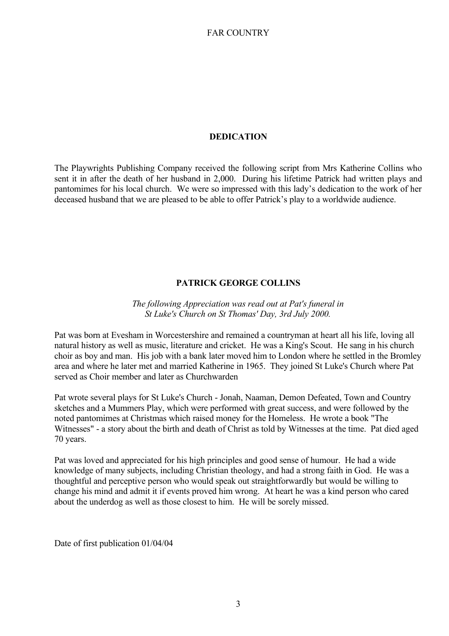#### **DEDICATION**

The Playwrights Publishing Company received the following script from Mrs Katherine Collins who sent it in after the death of her husband in 2,000. During his lifetime Patrick had written plays and pantomimes for his local church. We were so impressed with this lady's dedication to the work of her deceased husband that we are pleased to be able to offer Patrick's play to a worldwide audience.

## **PATRICK GEORGE COLLINS**

## *The following Appreciation was read out at Pat's funeral in St Luke's Church on St Thomas' Day, 3rd July 2000.*

Pat was born at Evesham in Worcestershire and remained a countryman at heart all his life, loving all natural history as well as music, literature and cricket. He was a King's Scout. He sang in his church choir as boy and man. His job with a bank later moved him to London where he settled in the Bromley area and where he later met and married Katherine in 1965. They joined St Luke's Church where Pat served as Choir member and later as Churchwarden

Pat wrote several plays for St Luke's Church - Jonah, Naaman, Demon Defeated, Town and Country sketches and a Mummers Play, which were performed with great success, and were followed by the noted pantomimes at Christmas which raised money for the Homeless. He wrote a book "The Witnesses" - a story about the birth and death of Christ as told by Witnesses at the time. Pat died aged 70 years.

Pat was loved and appreciated for his high principles and good sense of humour. He had a wide knowledge of many subjects, including Christian theology, and had a strong faith in God. He was a thoughtful and perceptive person who would speak out straightforwardly but would be willing to change his mind and admit it if events proved him wrong. At heart he was a kind person who cared about the underdog as well as those closest to him. He will be sorely missed.

Date of first publication 01/04/04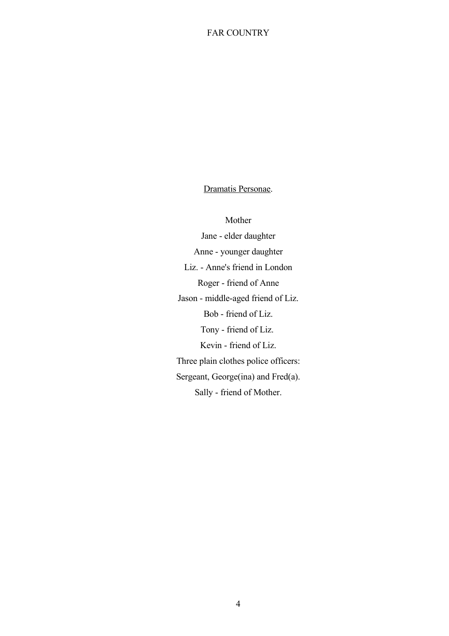## Dramatis Personae.

Mother Jane - elder daughter Anne - younger daughter Liz. - Anne's friend in London Roger - friend of Anne Jason - middle-aged friend of Liz. Bob - friend of Liz. Tony - friend of Liz. Kevin - friend of Liz. Three plain clothes police officers: Sergeant, George(ina) and Fred(a). Sally - friend of Mother.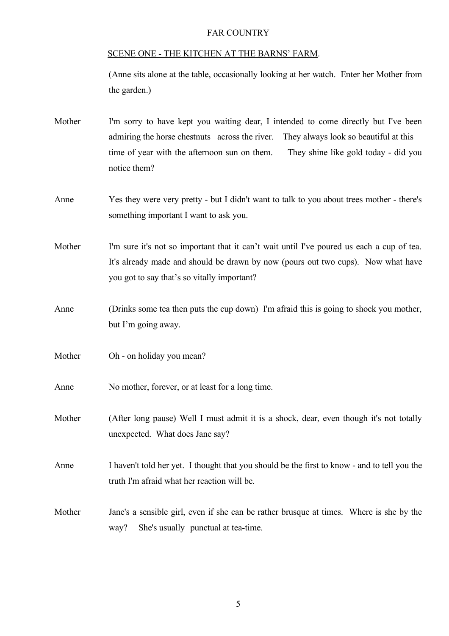#### SCENE ONE - THE KITCHEN AT THE BARNS' FARM.

(Anne sits alone at the table, occasionally looking at her watch. Enter her Mother from the garden.)

- Mother I'm sorry to have kept you waiting dear, I intended to come directly but I've been admiring the horse chestnuts across the river. They always look so beautiful at this time of year with the afternoon sun on them. They shine like gold today - did you notice them?
- Anne Yes they were very pretty but I didn't want to talk to you about trees mother there's something important I want to ask you.

Mother I'm sure it's not so important that it can't wait until I've poured us each a cup of tea. It's already made and should be drawn by now (pours out two cups). Now what have you got to say that's so vitally important?

- Anne (Drinks some tea then puts the cup down) I'm afraid this is going to shock you mother, but I'm going away.
- Mother Oh on holiday you mean?
- Anne No mother, forever, or at least for a long time.

Mother (After long pause) Well I must admit it is a shock, dear, even though it's not totally unexpected. What does Jane say?

Anne I haven't told her yet. I thought that you should be the first to know - and to tell you the truth I'm afraid what her reaction will be.

Mother Jane's a sensible girl, even if she can be rather brusque at times. Where is she by the way? She's usually punctual at tea-time.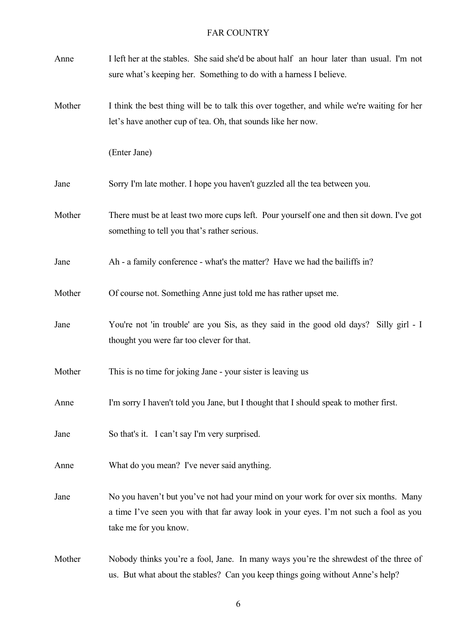| Anne   | I left her at the stables. She said she'd be about half an hour later than usual. I'm not<br>sure what's keeping her. Something to do with a harness I believe.                                      |
|--------|------------------------------------------------------------------------------------------------------------------------------------------------------------------------------------------------------|
| Mother | I think the best thing will be to talk this over together, and while we're waiting for her<br>let's have another cup of tea. Oh, that sounds like her now.                                           |
|        | (Enter Jane)                                                                                                                                                                                         |
| Jane   | Sorry I'm late mother. I hope you haven't guzzled all the tea between you.                                                                                                                           |
| Mother | There must be at least two more cups left. Pour yourself one and then sit down. I've got<br>something to tell you that's rather serious.                                                             |
| Jane   | Ah - a family conference - what's the matter? Have we had the bailiffs in?                                                                                                                           |
| Mother | Of course not. Something Anne just told me has rather upset me.                                                                                                                                      |
| Jane   | You're not 'in trouble' are you Sis, as they said in the good old days? Silly girl - I<br>thought you were far too clever for that.                                                                  |
| Mother | This is no time for joking Jane - your sister is leaving us                                                                                                                                          |
| Anne   | I'm sorry I haven't told you Jane, but I thought that I should speak to mother first.                                                                                                                |
| Jane   | So that's it. I can't say I'm very surprised.                                                                                                                                                        |
| Anne   | What do you mean? I've never said anything.                                                                                                                                                          |
| Jane   | No you haven't but you've not had your mind on your work for over six months. Many<br>a time I've seen you with that far away look in your eyes. I'm not such a fool as you<br>take me for you know. |
| Mother | Nobody thinks you're a fool, Jane. In many ways you're the shrewdest of the three of<br>us. But what about the stables? Can you keep things going without Anne's help?                               |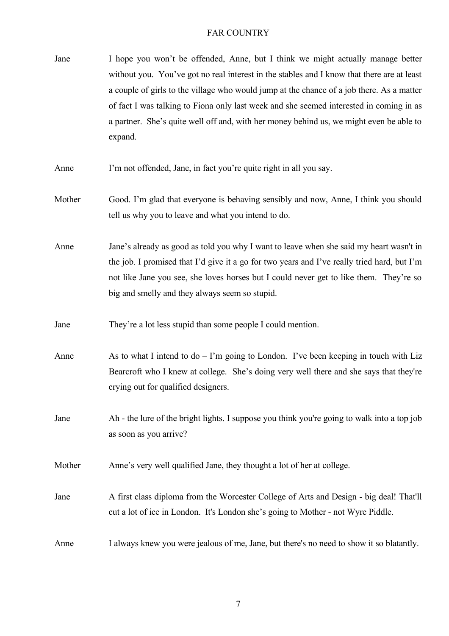- Jane I hope you won't be offended, Anne, but I think we might actually manage better without you. You've got no real interest in the stables and I know that there are at least a couple of girls to the village who would jump at the chance of a job there. As a matter of fact I was talking to Fiona only last week and she seemed interested in coming in as a partner. She's quite well off and, with her money behind us, we might even be able to expand.
- Anne I'm not offended, Jane, in fact you're quite right in all you say.
- Mother Good. I'm glad that everyone is behaving sensibly and now, Anne, I think you should tell us why you to leave and what you intend to do.

Anne Jane's already as good as told you why I want to leave when she said my heart wasn't in the job. I promised that I'd give it a go for two years and I've really tried hard, but I'm not like Jane you see, she loves horses but I could never get to like them. They're so big and smelly and they always seem so stupid.

- Jane They're a lot less stupid than some people I could mention.
- Anne  $\Delta s$  to what I intend to  $\Delta o \Gamma m$  going to London. I've been keeping in touch with Liz Bearcroft who I knew at college. She's doing very well there and she says that they're crying out for qualified designers.
- Jane Ah the lure of the bright lights. I suppose you think you're going to walk into a top job as soon as you arrive?
- Mother Anne's very well qualified Jane, they thought a lot of her at college.
- Jane A first class diploma from the Worcester College of Arts and Design big deal! That'll cut a lot of ice in London. It's London she's going to Mother - not Wyre Piddle.

Anne I always knew you were jealous of me, Jane, but there's no need to show it so blatantly.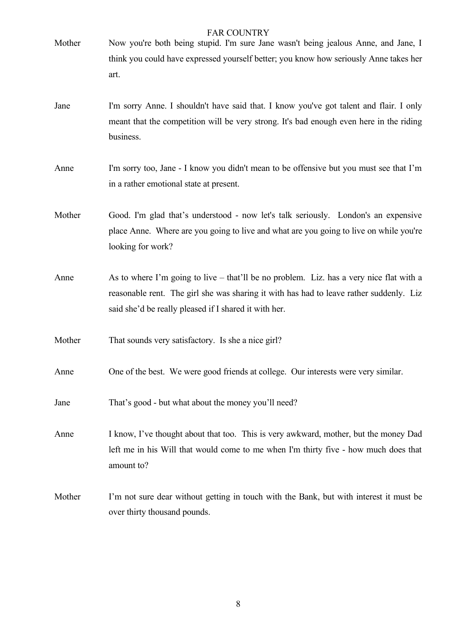| Mother | <b>FAR COUNTRY</b><br>Now you're both being stupid. I'm sure Jane wasn't being jealous Anne, and Jane, I                                                                                                                                    |
|--------|---------------------------------------------------------------------------------------------------------------------------------------------------------------------------------------------------------------------------------------------|
|        | think you could have expressed yourself better; you know how seriously Anne takes her<br>art.                                                                                                                                               |
| Jane   | I'm sorry Anne. I shouldn't have said that. I know you've got talent and flair. I only<br>meant that the competition will be very strong. It's bad enough even here in the riding<br>business.                                              |
| Anne   | I'm sorry too, Jane - I know you didn't mean to be offensive but you must see that I'm<br>in a rather emotional state at present.                                                                                                           |
| Mother | Good. I'm glad that's understood - now let's talk seriously. London's an expensive<br>place Anne. Where are you going to live and what are you going to live on while you're<br>looking for work?                                           |
| Anne   | As to where I'm going to live – that'll be no problem. Liz. has a very nice flat with a<br>reasonable rent. The girl she was sharing it with has had to leave rather suddenly. Liz<br>said she'd be really pleased if I shared it with her. |
| Mother | That sounds very satisfactory. Is she a nice girl?                                                                                                                                                                                          |
| Anne   | One of the best. We were good friends at college. Our interests were very similar.                                                                                                                                                          |
| Jane   | That's good - but what about the money you'll need?                                                                                                                                                                                         |
| Anne   | I know, I've thought about that too. This is very awkward, mother, but the money Dad<br>left me in his Will that would come to me when I'm thirty five - how much does that<br>amount to?                                                   |
| Mother | I'm not sure dear without getting in touch with the Bank, but with interest it must be<br>over thirty thousand pounds.                                                                                                                      |

8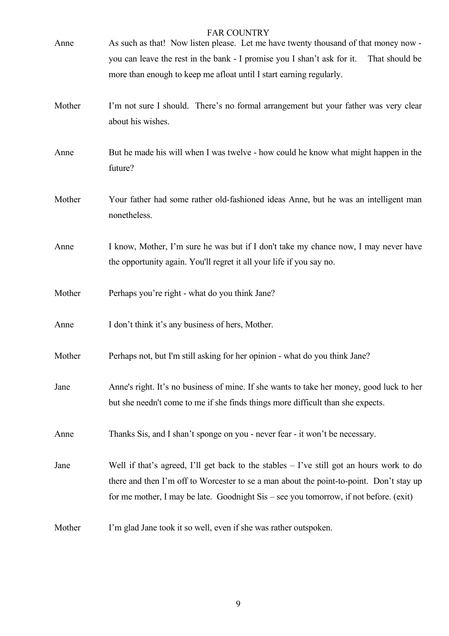| Anne   | <b>FAR COUNTRY</b><br>As such as that! Now listen please. Let me have twenty thousand of that money now - |
|--------|-----------------------------------------------------------------------------------------------------------|
|        | you can leave the rest in the bank - I promise you I shan't ask for it.<br>That should be                 |
|        | more than enough to keep me afloat until I start earning regularly.                                       |
|        |                                                                                                           |
| Mother | I'm not sure I should. There's no formal arrangement but your father was very clear                       |
|        | about his wishes.                                                                                         |
|        |                                                                                                           |
| Anne   | But he made his will when I was twelve - how could he know what might happen in the                       |
|        | future?                                                                                                   |
|        |                                                                                                           |
| Mother | Your father had some rather old-fashioned ideas Anne, but he was an intelligent man                       |
|        | nonetheless.                                                                                              |
|        |                                                                                                           |
| Anne   | I know, Mother, I'm sure he was but if I don't take my chance now, I may never have                       |
|        | the opportunity again. You'll regret it all your life if you say no.                                      |
|        |                                                                                                           |
| Mother | Perhaps you're right - what do you think Jane?                                                            |
|        |                                                                                                           |
| Anne   | I don't think it's any business of hers, Mother.                                                          |
|        |                                                                                                           |
| Mother | Perhaps not, but I'm still asking for her opinion - what do you think Jane?                               |
|        |                                                                                                           |
| Jane   | Anne's right. It's no business of mine. If she wants to take her money, good luck to her                  |
|        | but she needn't come to me if she finds things more difficult than she expects.                           |
|        |                                                                                                           |
| Anne   | Thanks Sis, and I shan't sponge on you - never fear - it won't be necessary.                              |
|        |                                                                                                           |
| Jane   | Well if that's agreed, I'll get back to the stables $-$ I've still got an hours work to do                |
|        | there and then I'm off to Worcester to se a man about the point-to-point. Don't stay up                   |
|        | for me mother, I may be late. Goodnight Sis – see you tomorrow, if not before. (exit)                     |
|        |                                                                                                           |
| Mother | I'm glad Jane took it so well, even if she was rather outspoken.                                          |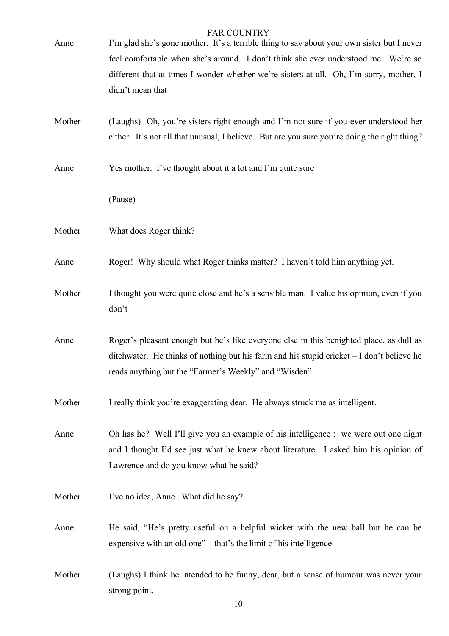| Anne   | <b>FAR COUNTRY</b><br>I'm glad she's gone mother. It's a terrible thing to say about your own sister but I never<br>feel comfortable when she's around. I don't think she ever understood me. We're so<br>different that at times I wonder whether we're sisters at all. Oh, I'm sorry, mother, I<br>didn't mean that |
|--------|-----------------------------------------------------------------------------------------------------------------------------------------------------------------------------------------------------------------------------------------------------------------------------------------------------------------------|
| Mother | (Laughs) Oh, you're sisters right enough and I'm not sure if you ever understood her<br>either. It's not all that unusual, I believe. But are you sure you're doing the right thing?                                                                                                                                  |
| Anne   | Yes mother. I've thought about it a lot and I'm quite sure                                                                                                                                                                                                                                                            |
|        | (Pause)                                                                                                                                                                                                                                                                                                               |
| Mother | What does Roger think?                                                                                                                                                                                                                                                                                                |
| Anne   | Roger! Why should what Roger thinks matter? I haven't told him anything yet.                                                                                                                                                                                                                                          |
| Mother | I thought you were quite close and he's a sensible man. I value his opinion, even if you<br>don't                                                                                                                                                                                                                     |
| Anne   | Roger's pleasant enough but he's like everyone else in this benighted place, as dull as<br>ditchwater. He thinks of nothing but his farm and his stupid cricket $-I$ don't believe he<br>reads anything but the "Farmer's Weekly" and "Wisden"                                                                        |
| Mother | I really think you're exaggerating dear. He always struck me as intelligent.                                                                                                                                                                                                                                          |
| Anne   | Oh has he? Well I'll give you an example of his intelligence : we were out one night<br>and I thought I'd see just what he knew about literature. I asked him his opinion of<br>Lawrence and do you know what he said?                                                                                                |
| Mother | I've no idea, Anne. What did he say?                                                                                                                                                                                                                                                                                  |
| Anne   | He said, "He's pretty useful on a helpful wicket with the new ball but he can be<br>expensive with an old one" – that's the limit of his intelligence                                                                                                                                                                 |
| Mother | (Laughs) I think he intended to be funny, dear, but a sense of humour was never your<br>strong point.                                                                                                                                                                                                                 |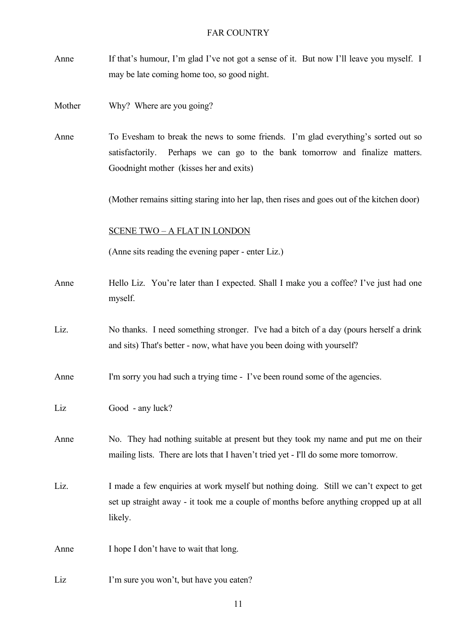- Anne If that's humour, I'm glad I've not got a sense of it. But now I'll leave you myself. I may be late coming home too, so good night.
- Mother Why? Where are you going?
- Anne To Evesham to break the news to some friends. I'm glad everything's sorted out so satisfactorily. Perhaps we can go to the bank tomorrow and finalize matters. Goodnight mother (kisses her and exits)

(Mother remains sitting staring into her lap, then rises and goes out of the kitchen door)

#### SCENE TWO – A FLAT IN LONDON

(Anne sits reading the evening paper - enter Liz.)

- Anne Hello Liz. You're later than I expected. Shall I make you a coffee? I've just had one myself.
- Liz. No thanks. I need something stronger. I've had a bitch of a day (pours herself a drink and sits) That's better - now, what have you been doing with yourself?

Anne I'm sorry you had such a trying time - I've been round some of the agencies.

- Liz Good any luck?
- Anne No. They had nothing suitable at present but they took my name and put me on their mailing lists. There are lots that I haven't tried yet - I'll do some more tomorrow.
- Liz. I made a few enquiries at work myself but nothing doing. Still we can't expect to get set up straight away - it took me a couple of months before anything cropped up at all likely.

Anne I hope I don't have to wait that long.

Liz I'm sure you won't, but have you eaten?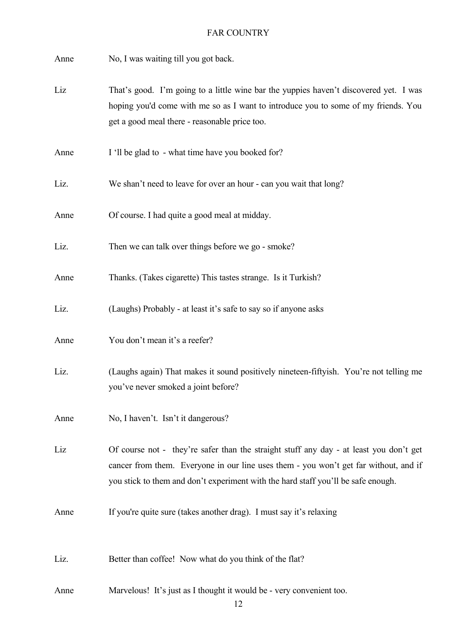Anne No, I was waiting till you got back.

- Liz That's good. I'm going to a little wine bar the yuppies haven't discovered yet. I was hoping you'd come with me so as I want to introduce you to some of my friends. You get a good meal there - reasonable price too.
- Anne I 'll be glad to what time have you booked for?
- Liz. We shan't need to leave for over an hour can you wait that long?

Anne Of course. I had quite a good meal at midday.

Liz. Then we can talk over things before we go - smoke?

Anne Thanks. (Takes cigarette) This tastes strange. Is it Turkish?

- Liz. (Laughs) Probably at least it's safe to say so if anyone asks
- Anne You don't mean it's a reefer?
- Liz. (Laughs again) That makes it sound positively nineteen-fiftyish. You're not telling me you've never smoked a joint before?
- Anne No, I haven't. Isn't it dangerous?

Liz Of course not - they're safer than the straight stuff any day - at least you don't get cancer from them. Everyone in our line uses them - you won't get far without, and if you stick to them and don't experiment with the hard staff you'll be safe enough.

Anne If you're quite sure (takes another drag). I must say it's relaxing

Liz. Better than coffee! Now what do you think of the flat?

Anne Marvelous! It's just as I thought it would be - very convenient too.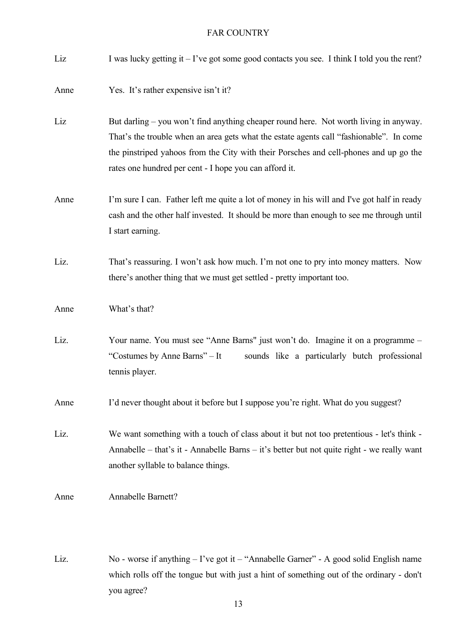| Liz  | I was lucky getting it $-1$ 've got some good contacts you see. I think I told you the rent?                                                                                                                                                                                                                                        |
|------|-------------------------------------------------------------------------------------------------------------------------------------------------------------------------------------------------------------------------------------------------------------------------------------------------------------------------------------|
| Anne | Yes. It's rather expensive isn't it?                                                                                                                                                                                                                                                                                                |
| Liz  | But darling – you won't find anything cheaper round here. Not worth living in anyway.<br>That's the trouble when an area gets what the estate agents call "fashionable". In come<br>the pinstriped yahoos from the City with their Porsches and cell-phones and up go the<br>rates one hundred per cent - I hope you can afford it. |
| Anne | I'm sure I can. Father left me quite a lot of money in his will and I've got half in ready<br>cash and the other half invested. It should be more than enough to see me through until<br>I start earning.                                                                                                                           |
| Liz. | That's reassuring. I won't ask how much. I'm not one to pry into money matters. Now<br>there's another thing that we must get settled - pretty important too.                                                                                                                                                                       |
| Anne | What's that?                                                                                                                                                                                                                                                                                                                        |
| Liz. | Your name. You must see "Anne Barns" just won't do. Imagine it on a programme -<br>"Costumes by Anne Barns" – It<br>sounds like a particularly butch professional<br>tennis player.                                                                                                                                                 |
| Anne | I'd never thought about it before but I suppose you're right. What do you suggest?                                                                                                                                                                                                                                                  |
| Liz. | We want something with a touch of class about it but not too pretentious - let's think -<br>Annabelle – that's it - Annabelle Barns – it's better but not quite right - we really want<br>another syllable to balance things.                                                                                                       |
| Anne | Annabelle Barnett?                                                                                                                                                                                                                                                                                                                  |

Liz. No - worse if anything – I've got it – "Annabelle Garner" - A good solid English name which rolls off the tongue but with just a hint of something out of the ordinary - don't you agree?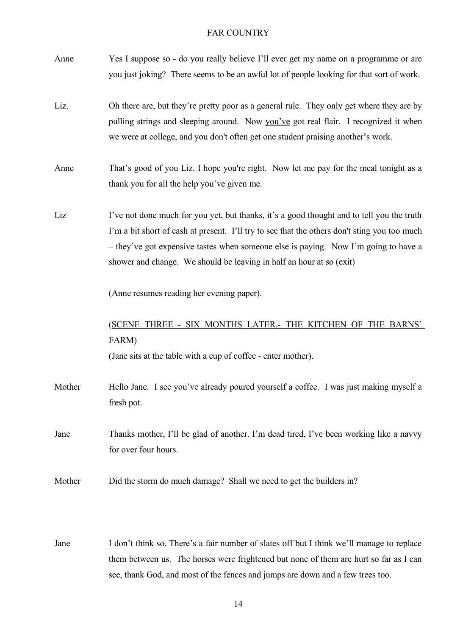| Anne   | Yes I suppose so - do you really believe I'll ever get my name on a programme or are<br>you just joking? There seems to be an awful lot of people looking for that sort of work.                                                                                                                                                                         |
|--------|----------------------------------------------------------------------------------------------------------------------------------------------------------------------------------------------------------------------------------------------------------------------------------------------------------------------------------------------------------|
| Liz.   | Oh there are, but they're pretty poor as a general rule. They only get where they are by<br>pulling strings and sleeping around. Now you've got real flair. I recognized it when<br>we were at college, and you don't often get one student praising another's work.                                                                                     |
| Anne   | That's good of you Liz. I hope you're right. Now let me pay for the meal tonight as a<br>thank you for all the help you've given me.                                                                                                                                                                                                                     |
| Liz    | I've not done much for you yet, but thanks, it's a good thought and to tell you the truth<br>I'm a bit short of cash at present. I'll try to see that the others don't sting you too much<br>- they've got expensive tastes when someone else is paying. Now I'm going to have a<br>shower and change. We should be leaving in half an hour at so (exit) |
|        | (Anne resumes reading her evening paper).                                                                                                                                                                                                                                                                                                                |
|        | (SCENE THREE - SIX MONTHS LATER.- THE KITCHEN OF THE BARNS'<br><b>FARM</b><br>(Jane sits at the table with a cup of coffee - enter mother).                                                                                                                                                                                                              |
| Mother | Hello Jane. I see you've already poured yourself a coffee. I was just making myself a<br>fresh pot.                                                                                                                                                                                                                                                      |
| Jane   | Thanks mother, I'll be glad of another. I'm dead tired, I've been working like a navvy<br>for over four hours.                                                                                                                                                                                                                                           |
| Mother | Did the storm do much damage? Shall we need to get the builders in?                                                                                                                                                                                                                                                                                      |
| Jane   | I don't think so. There's a fair number of slates off but I think we'll manage to replace<br>them between us. The horses were frightened but none of them are hurt so far as I can                                                                                                                                                                       |

see, thank God, and most of the fences and jumps are down and a few trees too.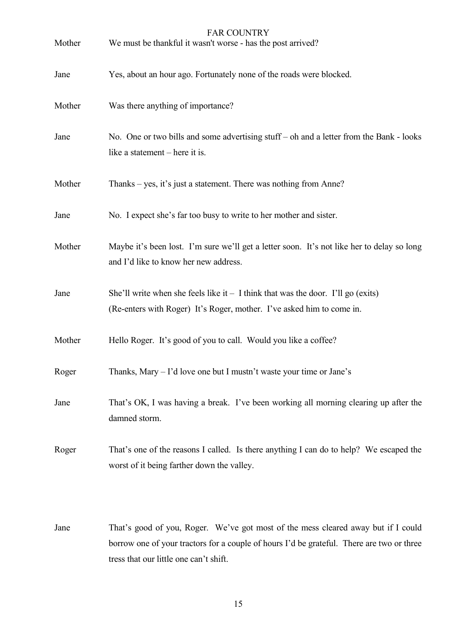| Mother | <b>FAR COUNTRY</b><br>We must be thankful it wasn't worse - has the post arrived?                                                                          |
|--------|------------------------------------------------------------------------------------------------------------------------------------------------------------|
| Jane   | Yes, about an hour ago. Fortunately none of the roads were blocked.                                                                                        |
| Mother | Was there anything of importance?                                                                                                                          |
| Jane   | No. One or two bills and some advertising stuff – oh and a letter from the Bank - looks<br>like a statement – here it is.                                  |
| Mother | Thanks – yes, it's just a statement. There was nothing from Anne?                                                                                          |
| Jane   | No. I expect she's far too busy to write to her mother and sister.                                                                                         |
| Mother | Maybe it's been lost. I'm sure we'll get a letter soon. It's not like her to delay so long<br>and I'd like to know her new address.                        |
| Jane   | She'll write when she feels like it $-1$ think that was the door. I'll go (exits)<br>(Re-enters with Roger) It's Roger, mother. I've asked him to come in. |
| Mother | Hello Roger. It's good of you to call. Would you like a coffee?                                                                                            |
| Roger  | Thanks, Mary - I'd love one but I mustn't waste your time or Jane's                                                                                        |
| Jane   | That's OK, I was having a break. I've been working all morning clearing up after the<br>damned storm.                                                      |
| Roger  | That's one of the reasons I called. Is there anything I can do to help? We escaped the<br>worst of it being farther down the valley.                       |
|        |                                                                                                                                                            |

Jane That's good of you, Roger. We've got most of the mess cleared away but if I could borrow one of your tractors for a couple of hours I'd be grateful. There are two or three tress that our little one can't shift.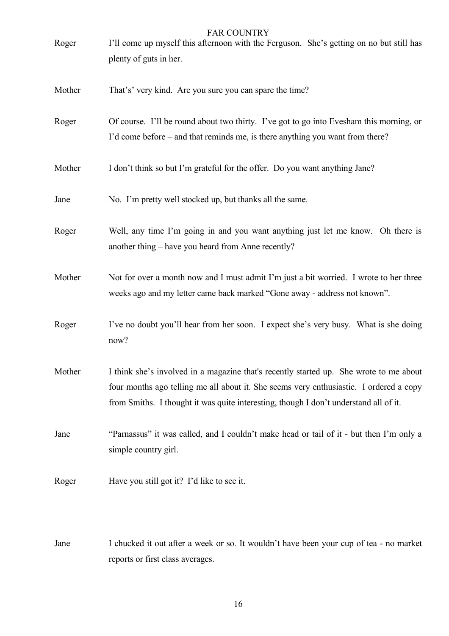# FAR COUNTRY Roger I'll come up myself this afternoon with the Ferguson. She's getting on no but still has plenty of guts in her. Mother That's' very kind. Are you sure you can spare the time? Roger Of course. I'll be round about two thirty. I've got to go into Evesham this morning, or I'd come before – and that reminds me, is there anything you want from there? Mother I don't think so but I'm grateful for the offer. Do you want anything Jane? Jane No. I'm pretty well stocked up, but thanks all the same. Roger Well, any time I'm going in and you want anything just let me know. Oh there is another thing – have you heard from Anne recently? Mother Not for over a month now and I must admit I'm just a bit worried. I wrote to her three weeks ago and my letter came back marked "Gone away - address not known". Roger I've no doubt you'll hear from her soon. I expect she's very busy. What is she doing now? Mother I think she's involved in a magazine that's recently started up. She wrote to me about four months ago telling me all about it. She seems very enthusiastic. I ordered a copy from Smiths. I thought it was quite interesting, though I don't understand all of it. Jane "Parnassus" it was called, and I couldn't make head or tail of it - but then I'm only a simple country girl. Roger Have you still got it? I'd like to see it.

Jane I chucked it out after a week or so*.* It wouldn't have been your cup of tea - no market reports or first class averages.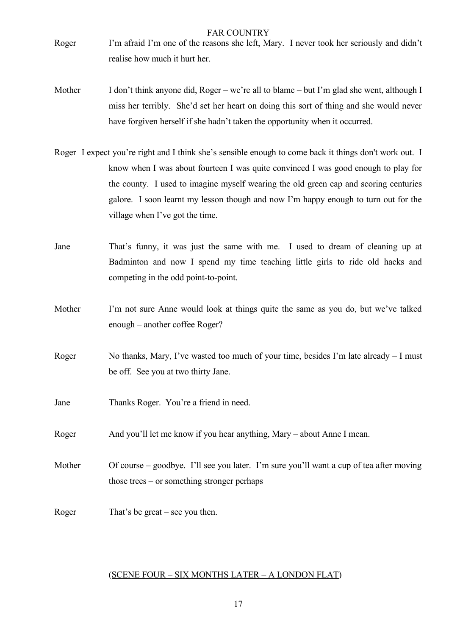- Roger I'm afraid I'm one of the reasons she left, Mary. I never took her seriously and didn't realise how much it hurt her.
- Mother I don't think anyone did, Roger we're all to blame but I'm glad she went, although I miss her terribly. She'd set her heart on doing this sort of thing and she would never have forgiven herself if she hadn't taken the opportunity when it occurred.
- Roger I expect you're right and I think she's sensible enough to come back it things don't work out. I know when I was about fourteen I was quite convinced I was good enough to play for the county. I used to imagine myself wearing the old green cap and scoring centuries galore. I soon learnt my lesson though and now I'm happy enough to turn out for the village when I've got the time.
- Jane That's funny, it was just the same with me. I used to dream of cleaning up at Badminton and now I spend my time teaching little girls to ride old hacks and competing in the odd point-to-point.
- Mother I'm not sure Anne would look at things quite the same as you do, but we've talked enough – another coffee Roger?
- Roger No thanks, Mary, I've wasted too much of your time, besides I'm late already I must be off. See you at two thirty Jane.
- Jane Thanks Roger. You're a friend in need.
- Roger And you'll let me know if you hear anything, Mary about Anne I mean.
- Mother Of course goodbye. I'll see you later. I'm sure you'll want a cup of tea after moving those trees – or something stronger perhaps
- Roger That's be great see you then.

# (SCENE FOUR – SIX MONTHS LATER – A LONDON FLAT)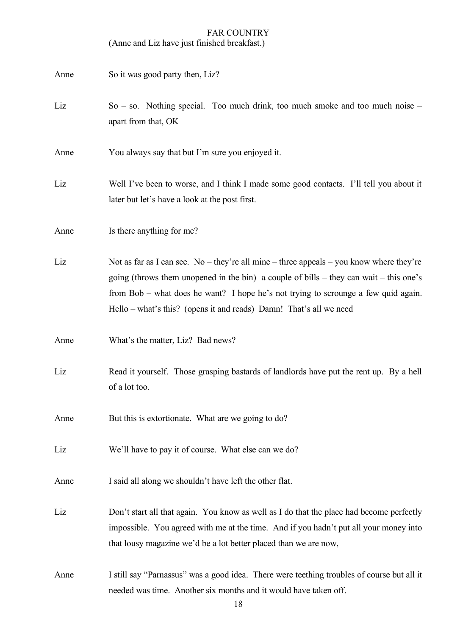(Anne and Liz have just finished breakfast.)

| Anne | So it was good party then, Liz?                                                                                                                                                                                                                                                                                                               |
|------|-----------------------------------------------------------------------------------------------------------------------------------------------------------------------------------------------------------------------------------------------------------------------------------------------------------------------------------------------|
| Liz  | $So - so$ . Nothing special. Too much drink, too much smoke and too much noise –<br>apart from that, OK                                                                                                                                                                                                                                       |
| Anne | You always say that but I'm sure you enjoyed it.                                                                                                                                                                                                                                                                                              |
| Liz  | Well I've been to worse, and I think I made some good contacts. I'll tell you about it<br>later but let's have a look at the post first.                                                                                                                                                                                                      |
| Anne | Is there anything for me?                                                                                                                                                                                                                                                                                                                     |
| Liz  | Not as far as I can see. No – they're all mine – three appeals – you know where they're<br>going (throws them unopened in the bin) a couple of bills – they can wait – this one's<br>from Bob – what does he want? I hope he's not trying to scrounge a few quid again.<br>Hello – what's this? (opens it and reads) Damn! That's all we need |
| Anne | What's the matter, Liz? Bad news?                                                                                                                                                                                                                                                                                                             |
| Liz  | Read it yourself. Those grasping bastards of landlords have put the rent up. By a hell<br>of a lot too.                                                                                                                                                                                                                                       |
| Anne | But this is extortionate. What are we going to do?                                                                                                                                                                                                                                                                                            |
| Liz  | We'll have to pay it of course. What else can we do?                                                                                                                                                                                                                                                                                          |
| Anne | I said all along we shouldn't have left the other flat.                                                                                                                                                                                                                                                                                       |
| Liz  | Don't start all that again. You know as well as I do that the place had become perfectly<br>impossible. You agreed with me at the time. And if you hadn't put all your money into<br>that lousy magazine we'd be a lot better placed than we are now,                                                                                         |
| Anne | I still say "Parnassus" was a good idea. There were teething troubles of course but all it<br>needed was time. Another six months and it would have taken off.                                                                                                                                                                                |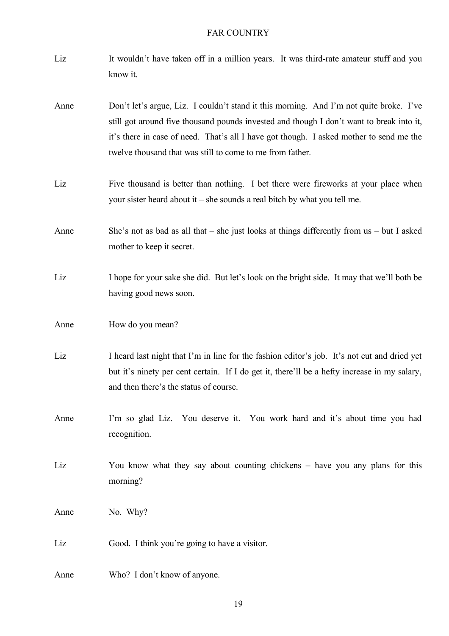- Liz It wouldn't have taken off in a million years. It was third-rate amateur stuff and you know it.
- Anne Don't let's argue, Liz. I couldn't stand it this morning. And I'm not quite broke. I've still got around five thousand pounds invested and though I don't want to break into it, it's there in case of need. That's all I have got though. I asked mother to send me the twelve thousand that was still to come to me from father.
- Liz Five thousand is better than nothing. I bet there were fireworks at your place when your sister heard about it – she sounds a real bitch by what you tell me.
- Anne She's not as bad as all that she just looks at things differently from us but I asked mother to keep it secret.
- Liz I hope for your sake she did. But let's look on the bright side. It may that we'll both be having good news soon.
- Anne How do you mean?
- Liz I heard last night that I'm in line for the fashion editor's job. It's not cut and dried yet but it's ninety per cent certain. If I do get it, there'll be a hefty increase in my salary, and then there's the status of course.
- Anne I'm so glad Liz. You deserve it. You work hard and it's about time you had recognition.
- Liz You know what they say about counting chickens have you any plans for this morning?
- Anne No. Why?
- Liz Good. I think you're going to have a visitor.

Anne Who? I don't know of anyone.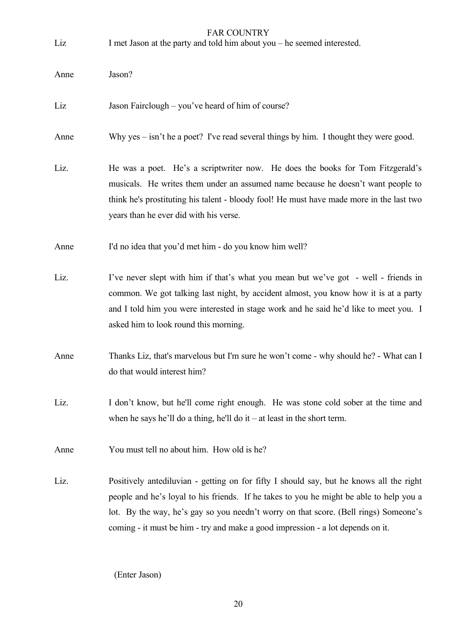| Liz  | <b>FAR COUNTRY</b><br>I met Jason at the party and told him about you – he seemed interested.                                                                                                                                                                                                                                                                 |
|------|---------------------------------------------------------------------------------------------------------------------------------------------------------------------------------------------------------------------------------------------------------------------------------------------------------------------------------------------------------------|
| Anne | Jason?                                                                                                                                                                                                                                                                                                                                                        |
| Liz  | Jason Fairclough – you've heard of him of course?                                                                                                                                                                                                                                                                                                             |
| Anne | Why yes $-$ isn't he a poet? I've read several things by him. I thought they were good.                                                                                                                                                                                                                                                                       |
| Liz. | He was a poet. He's a scriptwriter now. He does the books for Tom Fitzgerald's<br>musicals. He writes them under an assumed name because he doesn't want people to<br>think he's prostituting his talent - bloody fool! He must have made more in the last two<br>years than he ever did with his verse.                                                      |
| Anne | I'd no idea that you'd met him - do you know him well?                                                                                                                                                                                                                                                                                                        |
| Liz. | I've never slept with him if that's what you mean but we've got - well - friends in<br>common. We got talking last night, by accident almost, you know how it is at a party<br>and I told him you were interested in stage work and he said he'd like to meet you. I<br>asked him to look round this morning.                                                 |
| Anne | Thanks Liz, that's marvelous but I'm sure he won't come - why should he? - What can I<br>do that would interest him?                                                                                                                                                                                                                                          |
| Liz. | I don't know, but he'll come right enough. He was stone cold sober at the time and<br>when he says he'll do a thing, he'll do it $-$ at least in the short term.                                                                                                                                                                                              |
| Anne | You must tell no about him. How old is he?                                                                                                                                                                                                                                                                                                                    |
| Liz. | Positively antediluvian - getting on for fifty I should say, but he knows all the right<br>people and he's loyal to his friends. If he takes to you he might be able to help you a<br>lot. By the way, he's gay so you needn't worry on that score. (Bell rings) Someone's<br>coming - it must be him - try and make a good impression - a lot depends on it. |

(Enter Jason)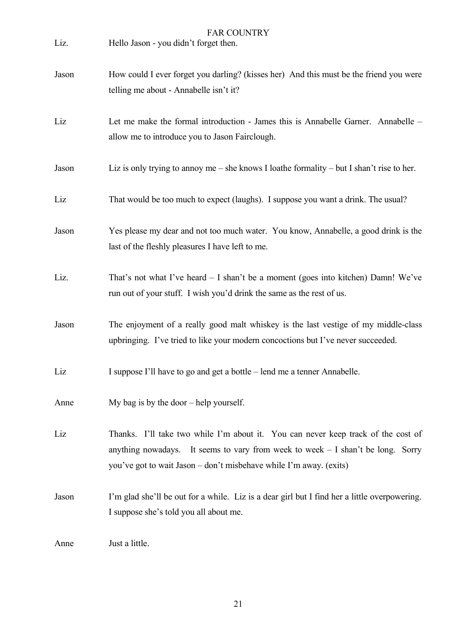| Liz.  | <b>FAR COUNTRY</b><br>Hello Jason - you didn't forget then.                                                                                                                                                                                 |
|-------|---------------------------------------------------------------------------------------------------------------------------------------------------------------------------------------------------------------------------------------------|
| Jason | How could I ever forget you darling? (kisses her) And this must be the friend you were<br>telling me about - Annabelle isn't it?                                                                                                            |
| Liz   | Let me make the formal introduction - James this is Annabelle Garner. Annabelle -<br>allow me to introduce you to Jason Fairclough.                                                                                                         |
| Jason | Liz is only trying to annoy me – she knows I loathe formality – but I shan't rise to her.                                                                                                                                                   |
| Liz   | That would be too much to expect (laughs). I suppose you want a drink. The usual?                                                                                                                                                           |
| Jason | Yes please my dear and not too much water. You know, Annabelle, a good drink is the<br>last of the fleshly pleasures I have left to me.                                                                                                     |
| Liz.  | That's not what I've heard $-$ I shan't be a moment (goes into kitchen) Damn! We've<br>run out of your stuff. I wish you'd drink the same as the rest of us.                                                                                |
| Jason | The enjoyment of a really good malt whiskey is the last vestige of my middle-class<br>upbringing. I've tried to like your modern concoctions but I've never succeeded.                                                                      |
| Liz   | I suppose I'll have to go and get a bottle – lend me a tenner Annabelle.                                                                                                                                                                    |
| Anne  | My bag is by the door $-$ help yourself.                                                                                                                                                                                                    |
| Liz   | Thanks. I'll take two while I'm about it. You can never keep track of the cost of<br>anything nowadays. It seems to vary from week to week $-1$ shan't be long. Sorry<br>you've got to wait Jason – don't misbehave while I'm away. (exits) |
| Jason | I'm glad she'll be out for a while. Liz is a dear girl but I find her a little overpowering.<br>I suppose she's told you all about me.                                                                                                      |
| Anne  | Just a little.                                                                                                                                                                                                                              |